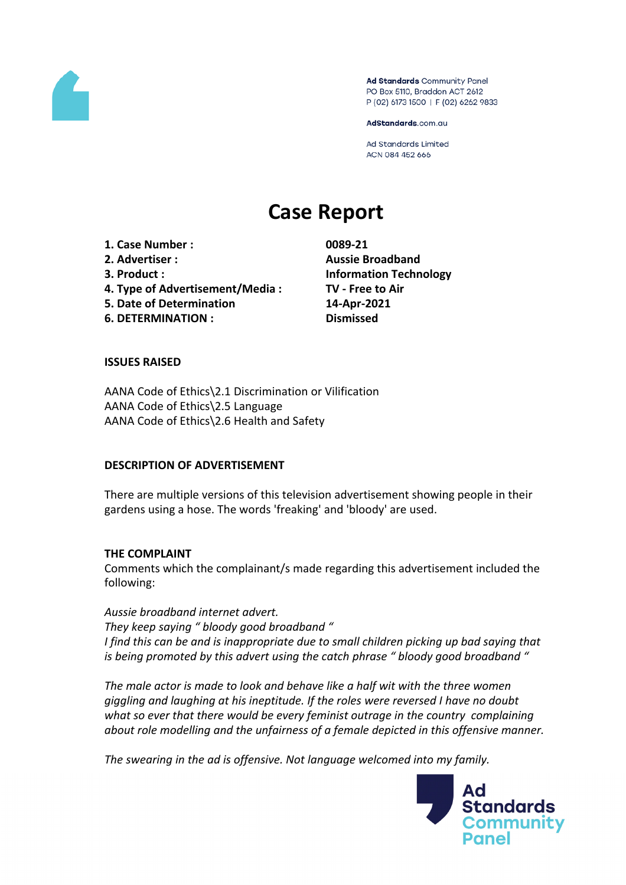

Ad Standards Community Panel PO Box 5110, Braddon ACT 2612 P (02) 6173 1500 | F (02) 6262 9833

AdStandards.com.au

Ad Standards Limited ACN 084 452 666

# **Case Report**

**1. Case Number : 0089-21 2. Advertiser : Aussie Broadband 3. Product : Information Technology 4. Type of Advertisement/Media : TV - Free to Air 5. Date of Determination 14-Apr-2021 6. DETERMINATION : Dismissed**

# **ISSUES RAISED**

AANA Code of Ethics\2.1 Discrimination or Vilification AANA Code of Ethics\2.5 Language AANA Code of Ethics\2.6 Health and Safety

# **DESCRIPTION OF ADVERTISEMENT**

There are multiple versions of this television advertisement showing people in their gardens using a hose. The words 'freaking' and 'bloody' are used.

#### **THE COMPLAINT**

Comments which the complainant/s made regarding this advertisement included the following:

*Aussie broadband internet advert. They keep saying " bloody good broadband " I find this can be and is inappropriate due to small children picking up bad saying that is being promoted by this advert using the catch phrase " bloody good broadband "*

*The male actor is made to look and behave like a half wit with the three women giggling and laughing at his ineptitude. If the roles were reversed I have no doubt what so ever that there would be every feminist outrage in the country complaining about role modelling and the unfairness of a female depicted in this offensive manner.*

*The swearing in the ad is offensive. Not language welcomed into my family.*

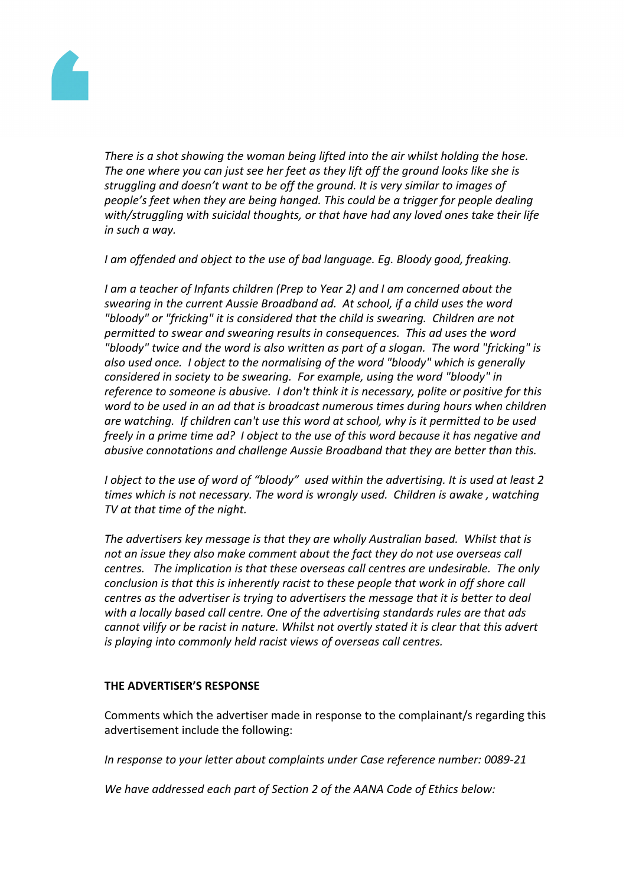

*There is a shot showing the woman being lifted into the air whilst holding the hose. The one where you can just see her feet as they lift off the ground looks like she is struggling and doesn't want to be off the ground. It is very similar to images of people's feet when they are being hanged. This could be a trigger for people dealing with/struggling with suicidal thoughts, or that have had any loved ones take their life in such a way.*

*I am offended and object to the use of bad language. Eg. Bloody good, freaking.*

*I am a teacher of Infants children (Prep to Year 2) and I am concerned about the swearing in the current Aussie Broadband ad. At school, if a child uses the word "bloody" or "fricking" it is considered that the child is swearing. Children are not permitted to swear and swearing results in consequences. This ad uses the word "bloody" twice and the word is also written as part of a slogan. The word "fricking" is also used once. I object to the normalising of the word "bloody" which is generally considered in society to be swearing. For example, using the word "bloody" in reference to someone is abusive. I don't think it is necessary, polite or positive for this word to be used in an ad that is broadcast numerous times during hours when children are watching. If children can't use this word at school, why is it permitted to be used freely in a prime time ad? I object to the use of this word because it has negative and abusive connotations and challenge Aussie Broadband that they are better than this.*

*I object to the use of word of "bloody" used within the advertising. It is used at least 2 times which is not necessary. The word is wrongly used. Children is awake , watching TV at that time of the night.*

*The advertisers key message is that they are wholly Australian based. Whilst that is not an issue they also make comment about the fact they do not use overseas call centres. The implication is that these overseas call centres are undesirable. The only conclusion is that this is inherently racist to these people that work in off shore call centres as the advertiser is trying to advertisers the message that it is better to deal with a locally based call centre. One of the advertising standards rules are that ads cannot vilify or be racist in nature. Whilst not overtly stated it is clear that this advert is playing into commonly held racist views of overseas call centres.*

# **THE ADVERTISER'S RESPONSE**

Comments which the advertiser made in response to the complainant/s regarding this advertisement include the following:

*In response to your letter about complaints under Case reference number: 0089-21*

*We have addressed each part of Section 2 of the AANA Code of Ethics below:*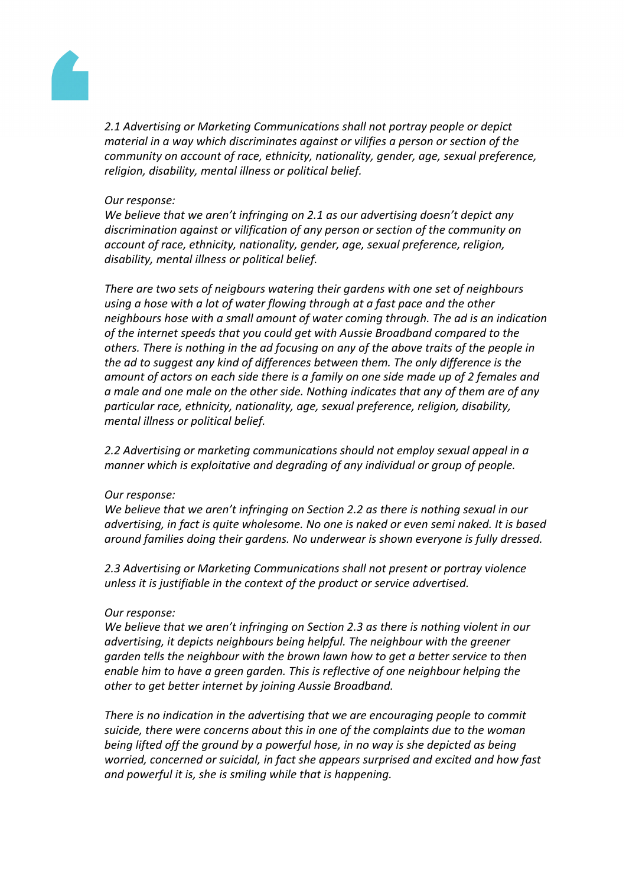

*2.1 Advertising or Marketing Communications shall not portray people or depict material in a way which discriminates against or vilifies a person or section of the community on account of race, ethnicity, nationality, gender, age, sexual preference, religion, disability, mental illness or political belief.*

## *Our response:*

*We believe that we aren't infringing on 2.1 as our advertising doesn't depict any discrimination against or vilification of any person or section of the community on account of race, ethnicity, nationality, gender, age, sexual preference, religion, disability, mental illness or political belief.*

*There are two sets of neigbours watering their gardens with one set of neighbours using a hose with a lot of water flowing through at a fast pace and the other neighbours hose with a small amount of water coming through. The ad is an indication of the internet speeds that you could get with Aussie Broadband compared to the others. There is nothing in the ad focusing on any of the above traits of the people in the ad to suggest any kind of differences between them. The only difference is the amount of actors on each side there is a family on one side made up of 2 females and a male and one male on the other side. Nothing indicates that any of them are of any particular race, ethnicity, nationality, age, sexual preference, religion, disability, mental illness or political belief.*

*2.2 Advertising or marketing communications should not employ sexual appeal in a manner which is exploitative and degrading of any individual or group of people.*

# *Our response:*

*We believe that we aren't infringing on Section 2.2 as there is nothing sexual in our advertising, in fact is quite wholesome. No one is naked or even semi naked. It is based around families doing their gardens. No underwear is shown everyone is fully dressed.*

*2.3 Advertising or Marketing Communications shall not present or portray violence unless it is justifiable in the context of the product or service advertised.*

#### *Our response:*

*We believe that we aren't infringing on Section 2.3 as there is nothing violent in our advertising, it depicts neighbours being helpful. The neighbour with the greener garden tells the neighbour with the brown lawn how to get a better service to then enable him to have a green garden. This is reflective of one neighbour helping the other to get better internet by joining Aussie Broadband.*

*There is no indication in the advertising that we are encouraging people to commit suicide, there were concerns about this in one of the complaints due to the woman being lifted off the ground by a powerful hose, in no way is she depicted as being worried, concerned or suicidal, in fact she appears surprised and excited and how fast and powerful it is, she is smiling while that is happening.*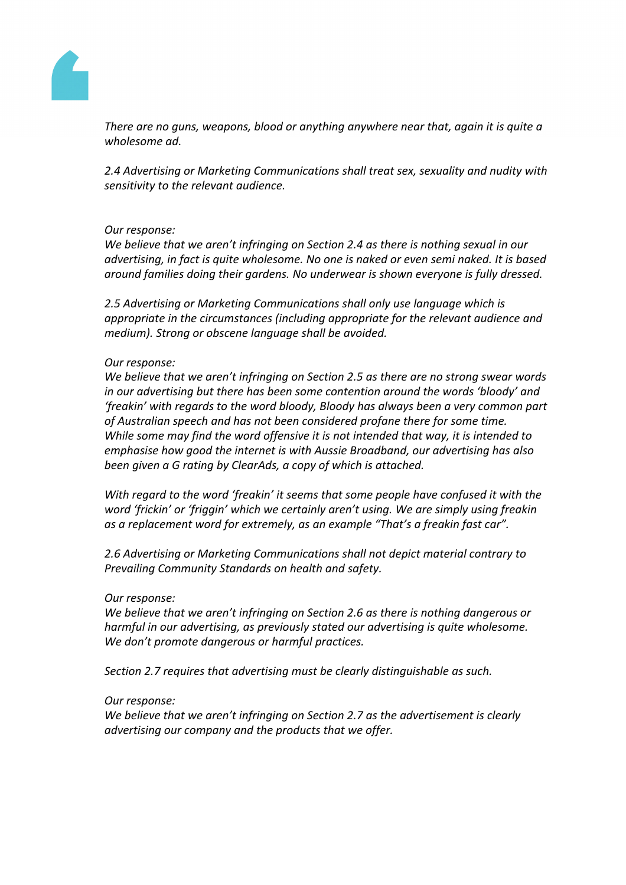

*There are no guns, weapons, blood or anything anywhere near that, again it is quite a wholesome ad.*

*2.4 Advertising or Marketing Communications shall treat sex, sexuality and nudity with sensitivity to the relevant audience.*

# *Our response:*

*We believe that we aren't infringing on Section 2.4 as there is nothing sexual in our advertising, in fact is quite wholesome. No one is naked or even semi naked. It is based around families doing their gardens. No underwear is shown everyone is fully dressed.*

*2.5 Advertising or Marketing Communications shall only use language which is appropriate in the circumstances (including appropriate for the relevant audience and medium). Strong or obscene language shall be avoided.*

#### *Our response:*

*We believe that we aren't infringing on Section 2.5 as there are no strong swear words in our advertising but there has been some contention around the words 'bloody' and 'freakin' with regards to the word bloody, Bloody has always been a very common part of Australian speech and has not been considered profane there for some time. While some may find the word offensive it is not intended that way, it is intended to emphasise how good the internet is with Aussie Broadband, our advertising has also been given a G rating by ClearAds, a copy of which is attached.*

*With regard to the word 'freakin' it seems that some people have confused it with the word 'frickin' or 'friggin' which we certainly aren't using. We are simply using freakin as a replacement word for extremely, as an example "That's a freakin fast car".*

*2.6 Advertising or Marketing Communications shall not depict material contrary to Prevailing Community Standards on health and safety.*

# *Our response:*

*We believe that we aren't infringing on Section 2.6 as there is nothing dangerous or harmful in our advertising, as previously stated our advertising is quite wholesome. We don't promote dangerous or harmful practices.*

*Section 2.7 requires that advertising must be clearly distinguishable as such.*

#### *Our response:*

*We believe that we aren't infringing on Section 2.7 as the advertisement is clearly advertising our company and the products that we offer.*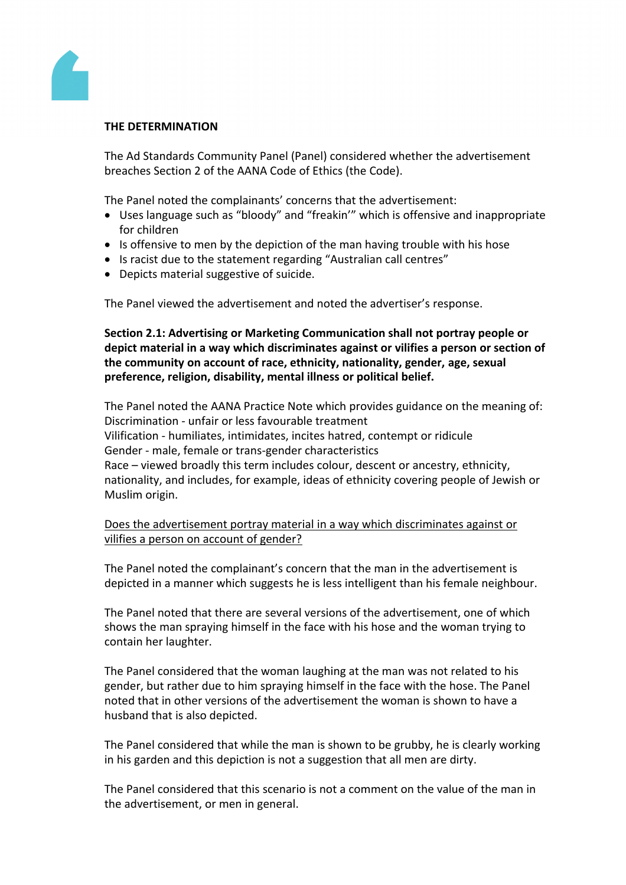

## **THE DETERMINATION**

The Ad Standards Community Panel (Panel) considered whether the advertisement breaches Section 2 of the AANA Code of Ethics (the Code).

The Panel noted the complainants' concerns that the advertisement:

- Uses language such as "bloody" and "freakin'" which is offensive and inappropriate for children
- Is offensive to men by the depiction of the man having trouble with his hose
- Is racist due to the statement regarding "Australian call centres"
- Depicts material suggestive of suicide.

The Panel viewed the advertisement and noted the advertiser's response.

**Section 2.1: Advertising or Marketing Communication shall not portray people or depict material in a way which discriminates against or vilifies a person or section of the community on account of race, ethnicity, nationality, gender, age, sexual preference, religion, disability, mental illness or political belief.**

The Panel noted the AANA Practice Note which provides guidance on the meaning of: Discrimination - unfair or less favourable treatment Vilification - humiliates, intimidates, incites hatred, contempt or ridicule Gender - male, female or trans-gender characteristics Race – viewed broadly this term includes colour, descent or ancestry, ethnicity, nationality, and includes, for example, ideas of ethnicity covering people of Jewish or Muslim origin.

Does the advertisement portray material in a way which discriminates against or vilifies a person on account of gender?

The Panel noted the complainant's concern that the man in the advertisement is depicted in a manner which suggests he is less intelligent than his female neighbour.

The Panel noted that there are several versions of the advertisement, one of which shows the man spraying himself in the face with his hose and the woman trying to contain her laughter.

The Panel considered that the woman laughing at the man was not related to his gender, but rather due to him spraying himself in the face with the hose. The Panel noted that in other versions of the advertisement the woman is shown to have a husband that is also depicted.

The Panel considered that while the man is shown to be grubby, he is clearly working in his garden and this depiction is not a suggestion that all men are dirty.

The Panel considered that this scenario is not a comment on the value of the man in the advertisement, or men in general.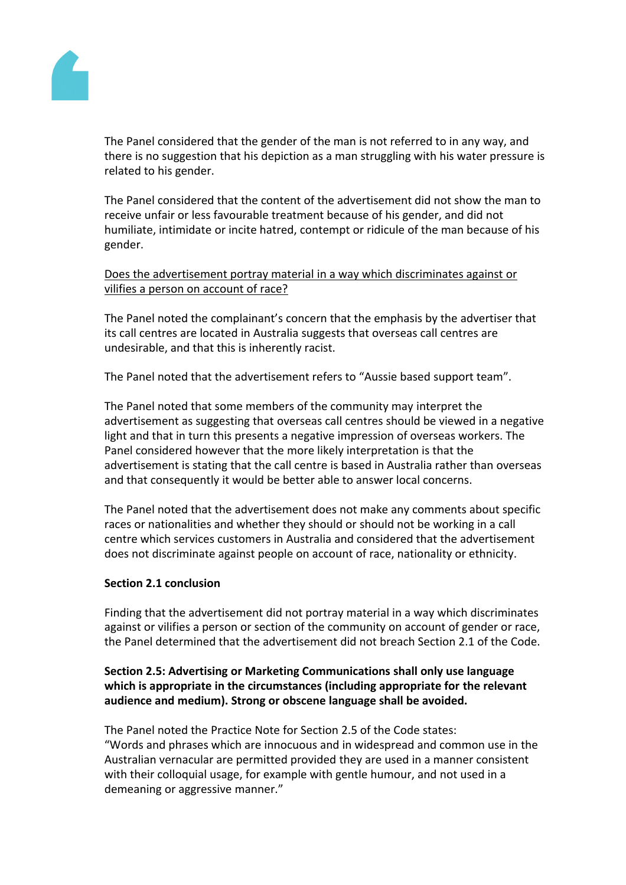

The Panel considered that the gender of the man is not referred to in any way, and there is no suggestion that his depiction as a man struggling with his water pressure is related to his gender.

The Panel considered that the content of the advertisement did not show the man to receive unfair or less favourable treatment because of his gender, and did not humiliate, intimidate or incite hatred, contempt or ridicule of the man because of his gender.

Does the advertisement portray material in a way which discriminates against or vilifies a person on account of race?

The Panel noted the complainant's concern that the emphasis by the advertiser that its call centres are located in Australia suggests that overseas call centres are undesirable, and that this is inherently racist.

The Panel noted that the advertisement refers to "Aussie based support team".

The Panel noted that some members of the community may interpret the advertisement as suggesting that overseas call centres should be viewed in a negative light and that in turn this presents a negative impression of overseas workers. The Panel considered however that the more likely interpretation is that the advertisement is stating that the call centre is based in Australia rather than overseas and that consequently it would be better able to answer local concerns.

The Panel noted that the advertisement does not make any comments about specific races or nationalities and whether they should or should not be working in a call centre which services customers in Australia and considered that the advertisement does not discriminate against people on account of race, nationality or ethnicity.

# **Section 2.1 conclusion**

Finding that the advertisement did not portray material in a way which discriminates against or vilifies a person or section of the community on account of gender or race, the Panel determined that the advertisement did not breach Section 2.1 of the Code.

# **Section 2.5: Advertising or Marketing Communications shall only use language which is appropriate in the circumstances (including appropriate for the relevant audience and medium). Strong or obscene language shall be avoided.**

The Panel noted the Practice Note for Section 2.5 of the Code states: "Words and phrases which are innocuous and in widespread and common use in the Australian vernacular are permitted provided they are used in a manner consistent with their colloquial usage, for example with gentle humour, and not used in a demeaning or aggressive manner."